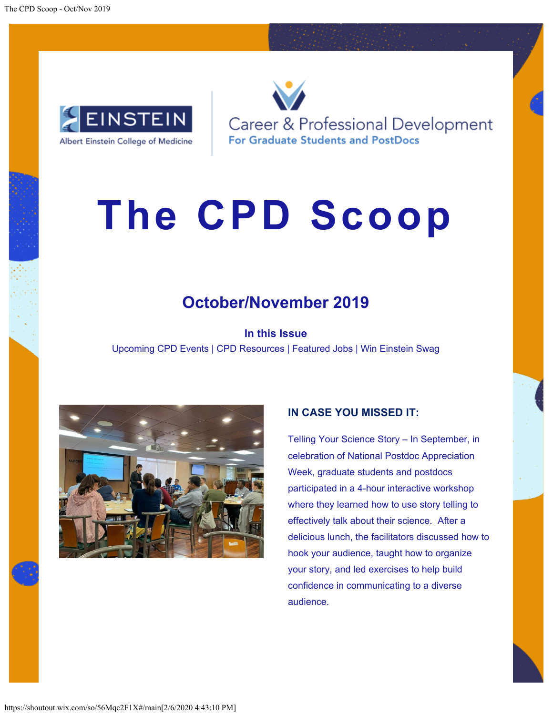

Career & Professional Development **For Graduate Students and PostDocs** 

# **The CPD Scoop**

## **October/November 2019**

**In this Issue** Upcoming CPD Events | CPD Resources | Featured Jobs | Win Einstein Swag



## **IN CASE YOU MISSED IT:**

Telling Your Science Story – In September, in celebration of National Postdoc Appreciation Week, graduate students and postdocs participated in a 4-hour interactive workshop where they learned how to use story telling to effectively talk about their science. After a delicious lunch, the facilitators discussed how to hook your audience, taught how to organize your story, and led exercises to help build confidence in communicating to a diverse audience.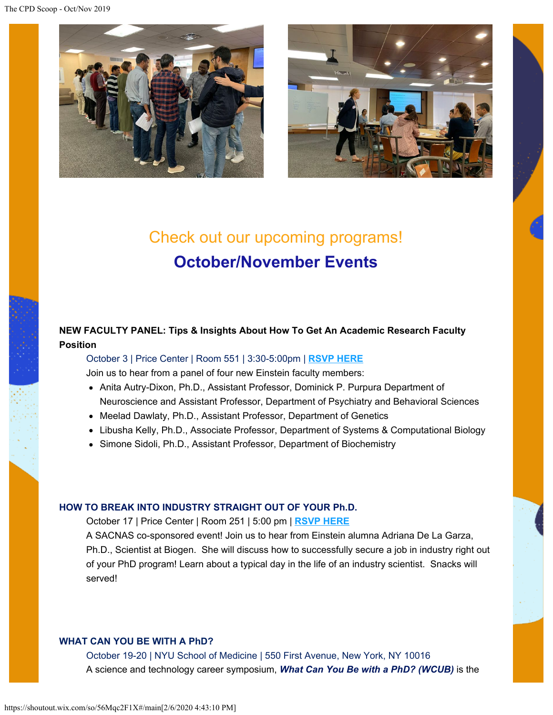The CPD Scoop - Oct/Nov 2019





# Check out our upcoming programs! **October/November Events**

## **NEW FACULTY PANEL: Tips & Insights About How To Get An Academic Research Faculty Position**

October 3 | Price Center | Room 551 | 3:30-5:00pm | **[RSVP HERE](https://shoutout.wix.com/so/56Mqc2F1X/c?w=1p-9QkExJp0gqm3o_qKOf5ISaCgIW_LvMYshBG9yE5w.eyJ1IjoiaHR0cHM6Ly93d3cuZXZlbnRicml0ZS5jb20vZS9uZXctZmFjdWx0eS1wYW5lbC10aWNrZXRzLTcwMzEwNjg4MTYxIiwiciI6IjNkYmQ0ODA1LWU1MTktNDMwZS05ZTk1LTc3ZjljM2E0N2I2NiIsIm0iOiJscCJ9)**

Join us to hear from a panel of four new Einstein faculty members:

- Anita Autry-Dixon, Ph.D., Assistant Professor, Dominick P. Purpura Department of Neuroscience and Assistant Professor, Department of Psychiatry and Behavioral Sciences
- Meelad Dawlaty, Ph.D., Assistant Professor, Department of Genetics
- Libusha Kelly, Ph.D., Associate Professor, Department of Systems & Computational Biology
- Simone Sidoli, Ph.D., Assistant Professor, Department of Biochemistry

#### **HOW TO BREAK INTO INDUSTRY STRAIGHT OUT OF YOUR Ph.D.**

October 17 | Price Center | Room 251 | 5:00 pm | **[RSVP HERE](https://shoutout.wix.com/so/56Mqc2F1X/c?w=ZP0iylp1uGUJ-BUypBdHk5aRtMealX_bWRXI4TUCRFk.eyJ1IjoiaHR0cHM6Ly9iaXQubHkvMm1acDdaYiIsInIiOiIxNmE4ZjFmNi01ZTBkLTQ5ODktNmUzNC1kNDcyMGE3ZDZiYzIiLCJtIjoibHAifQ)**

A SACNAS co-sponsored event! Join us to hear from Einstein alumna Adriana De La Garza, Ph.D., Scientist at Biogen. She will discuss how to successfully secure a job in industry right out of your PhD program! Learn about a typical day in the life of an industry scientist. Snacks will served!

#### **WHAT CAN YOU BE WITH A PhD?**

October 19-20 | NYU School of Medicine | 550 First Avenue, New York, NY 10016 A science and technology career symposium, *[What Can You Be with a PhD? \(WCUB\)](https://shoutout.wix.com/so/56Mqc2F1X/c?w=YJzWCqR6HPmtWV_XQZpTUMrPn_gDbCTDEzh36nzRMdo.eyJ1IjoiaHR0cDovL3d3dy53aGF0Y2FueW91YmV3aXRoYXBoZC5jb20vIiwiciI6IjRkZmEyOTgyLWRiZDktNDA1Zi1iNjdiLTA2YjhlM2RkMmE3YSIsIm0iOiJscCJ9)* is the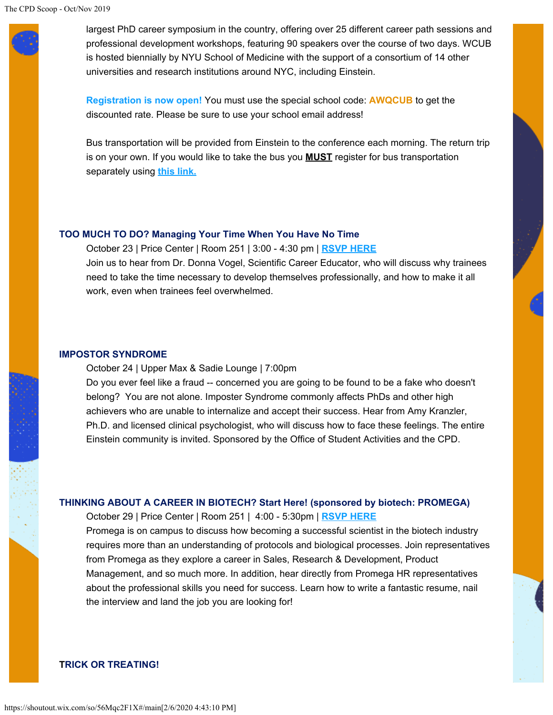largest PhD career symposium in the country, offering over 25 different career path sessions and professional development workshops, featuring 90 speakers over the course of two days. WCUB is hosted biennially by NYU School of Medicine with the support of a consortium of 14 other universities and research institutions around NYC, including Einstein.

**[Registration is now open!](https://shoutout.wix.com/so/56Mqc2F1X/c?w=OjCfB-yfndDBOqD8JuL2_cvCHJ1Jp6QJhkgz3AVDTrM.eyJ1IjoiaHR0cHM6Ly93Y3ViMjAxOS5ldmVudGJyaXRlLmNvbSIsInIiOiI0ZGZhMjk4Mi1kYmQ5LTQwNWYtYjY3Yi0wNmI4ZTNkZDJhN2EiLCJtIjoibHAifQ)** You must use the special school code: **AWQCUB** to get the discounted rate. Please be sure to use your school email address!

Bus transportation will be provided from Einstein to the conference each morning. The return trip is on your own. If you would like to take the bus you **MUST** register for bus transportation separately using **[this link.](https://shoutout.wix.com/so/56Mqc2F1X/c?w=-5mNwW8XmoW1hkoFMufSTfL-kFdhDPYjfkJracN6u80.eyJ1IjoiaHR0cHM6Ly93d3cuZXZlbnRicml0ZS5jb20vZS9idXMtdHJhbnNwb3J0YXRpb24tZm9yLXdoYXQtY2FuLWktYmUtd2l0aC1hLXBoZC10aWNrZXRzLTczNDczMDIyNzg5IiwiciI6IjRkZmEyOTgyLWRiZDktNDA1Zi1iNjdiLTA2YjhlM2RkMmE3YSIsIm0iOiJscCJ9)**

#### **TOO MUCH TO DO? Managing Your Time When You Have No Time**

October 23 | Price Center | Room 251 | 3:00 - 4:30 pm | **[RSVP HERE](https://shoutout.wix.com/so/56Mqc2F1X/c?w=3LyF2wMHwleIJpGO1MU283CAkMcoyu3Ng52kPhBDAxM.eyJ1IjoiaHR0cHM6Ly9iaXQubHkvMm5oY0tIWCIsInIiOiJmYmRmMmVhMS0yZDZiLTRkZGUtNGE5Zi0xNGY4MDU3ODY4YjkiLCJtIjoibHAifQ)** Join us to hear from Dr. Donna Vogel, Scientific Career Educator, who will discuss why trainees need to take the time necessary to develop themselves professionally, and how to make it all work, even when trainees feel overwhelmed.

#### **IMPOSTOR SYNDROME**

October 24 | Upper Max & Sadie Lounge | 7:00pm Do you ever feel like a fraud -- concerned you are going to be found to be a fake who doesn't belong? You are not alone. Imposter Syndrome commonly affects PhDs and other high achievers who are unable to internalize and accept their success. Hear from Amy Kranzler, Ph.D. and licensed clinical psychologist, who will discuss how to face these feelings. The entire Einstein community is invited. Sponsored by the Office of Student Activities and the CPD.

#### **THINKING ABOUT A CAREER IN BIOTECH? Start Here! (sponsored by biotech: PROMEGA)**

October 29 | Price Center | Room 251 | 4:00 - 5:30pm | **[RSVP HERE](https://shoutout.wix.com/so/56Mqc2F1X/c?w=NRc-rUvzq5r4waQ2ooctYsYDzv_qCKRIm5zzE83-fwU.eyJ1IjoiaHR0cHM6Ly9iaXQubHkvMm1aWnZMTCIsInIiOiIwYzNlMmM0Ni00ODI1LTQ2YTItZDZhYi04N2M1MTU2NmQwZjIiLCJtIjoibHAifQ)**

Promega is on campus to discuss how becoming a successful scientist in the biotech industry requires more than an understanding of protocols and biological processes. Join representatives from Promega as they explore a career in Sales, Research & Development, Product Management, and so much more. In addition, hear directly from Promega HR representatives about the professional skills you need for success. Learn how to write a fantastic resume, nail the interview and land the job you are looking for!

#### **TRICK OR TREATING!**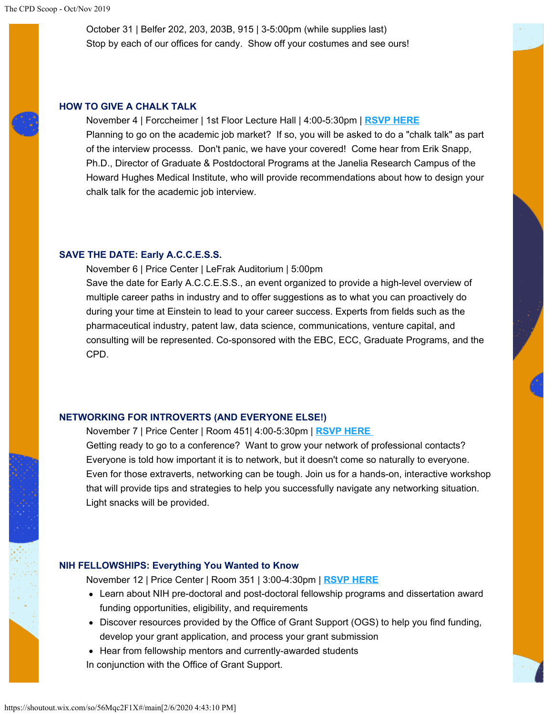October 31 | Belfer 202, 203, 203B, 915 | 3-5:00pm (while supplies last) Stop by each of our offices for candy. Show off your costumes and see ours!

#### **HOW TO GIVE A CHALK TALK**

November 4 | Forccheimer | 1st Floor Lecture Hall | 4:00-5:30pm | **[RSVP HERE](https://shoutout.wix.com/so/56Mqc2F1X/c?w=FWRN37H2gBmL5m9q5mW7qYhyzTil0cofPCjV4CAjzW0.eyJ1IjoiaHR0cHM6Ly9iaXQubHkvMmtNbk1udSIsInIiOiI3OWUyNTM5Ny0xYjhlLTRhMDItZTA3MS0wM2Y4NDg0NWY0OGQiLCJtIjoibHAifQ)** Planning to go on the academic job market? If so, you will be asked to do a "chalk talk" as part of the interview processs. Don't panic, we have your covered! Come hear from Erik Snapp, Ph.D., Director of Graduate & Postdoctoral Programs at the Janelia Research Campus of the Howard Hughes Medical Institute, who will provide recommendations about how to design your chalk talk for the academic job interview.

#### **SAVE THE DATE: Early A.C.C.E.S.S.**

November 6 | Price Center | LeFrak Auditorium | 5:00pm Save the date for Early A.C.C.E.S.S., an event organized to provide a high-level overview of multiple career paths in industry and to offer suggestions as to what you can proactively do during your time at Einstein to lead to your career success. Experts from fields such as the pharmaceutical industry, patent law, data science, communications, venture capital, and consulting will be represented. Co-sponsored with the EBC, ECC, Graduate Programs, and the CPD.

#### **NETWORKING FOR INTROVERTS (AND EVERYONE ELSE!)**

November 7 | Price Center | Room 451| 4:00-5:30pm | **[RSVP HERE](https://shoutout.wix.com/so/56Mqc2F1X/c?w=J4lijmve8S2OfVRkgSLxQ28dlRYAkds5PrwEP5giKUM.eyJ1IjoiaHR0cHM6Ly9iaXQubHkvMmt4WkJKcyIsInIiOiI3M2MxOTRmNy1iYTczLTQwYzQtNzJiMS1kYTZjMTUwNTkxYjkiLCJtIjoibHAifQ)**

Getting ready to go to a conference? Want to grow your network of professional contacts? Everyone is told how important it is to network, but it doesn't come so naturally to everyone. Even for those extraverts, networking can be tough. Join us for a hands-on, interactive workshop that will provide tips and strategies to help you successfully navigate any networking situation. Light snacks will be provided.

#### **NIH FELLOWSHIPS: Everything You Wanted to Know**

November 12 | Price Center | Room 351 | 3:00-4:30pm | **[RSVP HERE](https://shoutout.wix.com/so/56Mqc2F1X/c?w=z_EZRLYMzQZN2xGA88XldPE5pLxofOJomhtDh_ZKSNA.eyJ1IjoiaHR0cHM6Ly9iaXQubHkvMmxNWkFDNyIsInIiOiJlYmYyMTQ0ZS1mYmMwLTQ4MjEtODkyOC1hMGY3ZTkyZjg1YjgiLCJtIjoibHAifQ)**

- Learn about NIH pre-doctoral and post-doctoral fellowship programs and dissertation award funding opportunities, eligibility, and requirements
- Discover resources provided by the Office of Grant Support (OGS) to help you find funding, develop your grant application, and process your grant submission
- Hear from fellowship mentors and currently-awarded students

In conjunction with the Office of Grant Support.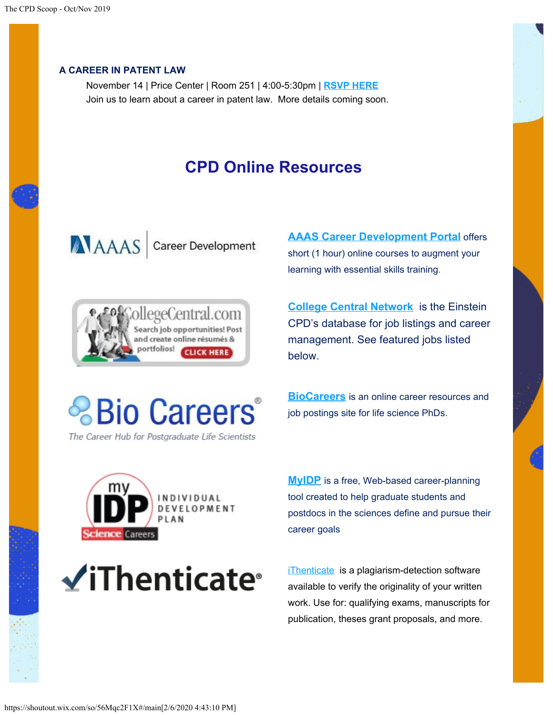#### **A CAREER IN PATENT LAW**

November 14 | Price Center | Room 251 | 4:00-5:30pm | **[RSVP HERE](https://shoutout.wix.com/so/56Mqc2F1X/c?w=oNskHDbjGoP6TZE1pU6HOIATKo1ERauhP2CK8sJgJaY.eyJ1IjoiaHR0cHM6Ly93d3cuZXZlbnRicml0ZS5jb20vZS9hLWNhcmVlci1pbi1wYXRlbnQtbGF3LXRpY2tldHMtNzQxNjc4NzEwOTkiLCJyIjoiZGE4MzgwMTAtYWFjOC00MDY0LWE3ODgtZDFiNDYyZGM3YTRmIiwibSI6ImxwIn0)** Join us to learn about a career in patent law. More details coming soon.

## **CPD Online Resources**

AAAS Career Development



**[AAAS Career Development Portal](https://shoutout.wix.com/so/56Mqc2F1X/c?w=AFC6ldrXcNRn8nXsStodBBF0EphqqNPkTuWFwSNz1nc.eyJ1IjoiaHR0cHM6Ly9jYXJlZXJkZXZlbG9wbWVudC5hYWFzLm9yZyIsInIiOiI2MDczNjY0Mi05NjVkLTQ3OTYtNDczZi0zZTAxYjA0MDNlNWMiLCJtIjoibHAifQ)** offers short (1 hour) online courses to augment your learning with essential skills training.

**[College Central Network](https://shoutout.wix.com/so/56Mqc2F1X/c?w=iwsrmXP5p2atQAXci1fhmd4l-_oObsxRIyIKiJjoRt0.eyJ1IjoiaHR0cHM6Ly93d3cuY29sbGVnZWNlbnRyYWwuY29tL2VpbnN0ZWluL1N0dWRlbnQuY2ZtIiwiciI6IjE5OGNjOTMyLTFmNjgtNGZlOC01MTJhLWNkOGMyMzQ0NzUwNCIsIm0iOiJscCJ9)** is the Einstein CPD's database for job listings and career management. See featured jobs listed below.



The Career Hub for Postgraduate Life Scientists

**[BioCareers](https://shoutout.wix.com/so/56Mqc2F1X/c?w=OPiv4Y6qTWN3YN43nikpatnEgUN-Swh8F0Rear42YsM.eyJ1IjoiaHR0cHM6Ly9iaW9jYXJlZXJzLmNvbS8iLCJyIjoiOTk2YWUwMzAtMDhhNC00Yjk2LTg0OTItMDliNDI3OThmZmJhIiwibSI6ImxwIn0)** is an online career resources and job postings site for life science PhDs.



 $\checkmark$ iThenticate<sup>®</sup>

**[MyIDP](https://shoutout.wix.com/so/56Mqc2F1X/c?w=TtA_flX8rSh0fJJ2GPs-W8NP3kXJE2Z1LrTUlS6EbL4.eyJ1IjoiaHR0cHM6Ly9teWlkcC5zY2llbmNlY2FyZWVycy5vcmciLCJyIjoiNGJkN2FjNzUtYjI2NC00MGMxLWNmYmUtMjU2NzcwNWQwYTMwIiwibSI6ImxwIn0)** is a free, Web-based career-planning tool created to help graduate students and postdocs in the sciences define and pursue their career goals

[iThenticate](https://shoutout.wix.com/so/56Mqc2F1X/c?w=0C13GQQDARdcVza6GijJuHe6muvmJunkBBWPNzn9LkI.eyJ1IjoiaHR0cDovL2xpYmd1aWRlcy5laW5zdGVpbi55dS5lZHUvYy5waHA_Zz0xMjM0NjEmcD04MDg0MTQiLCJyIjoiNTM4YWRiMDUtMjRlMS00MGVhLWEwMDUtMGZmYTZmYTVmMzRiIiwibSI6ImxwIn0) is a plagiarism-detection software available to verify the originality of your written work. Use for: qualifying exams, manuscripts for publication, theses grant proposals, and more.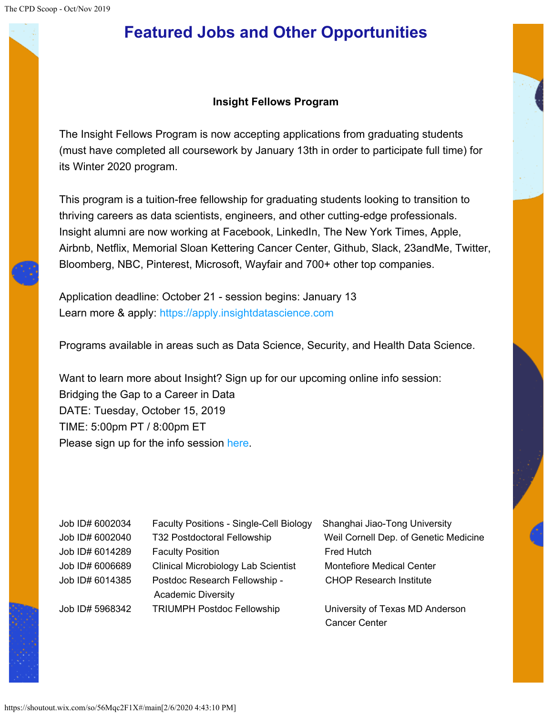# **Featured Jobs and Other Opportunities**

### **Insight Fellows Program**

The Insight Fellows Program is now accepting applications from graduating students (must have completed all coursework by January 13th in order to participate full time) for its Winter 2020 program.

This program is a tuition-free fellowship for graduating students looking to transition to thriving careers as data scientists, engineers, and other cutting-edge professionals. Insight alumni are now working at Facebook, LinkedIn, The New York Times, Apple, Airbnb, Netflix, Memorial Sloan Kettering Cancer Center, Github, Slack, 23andMe, Twitter, Bloomberg, NBC, Pinterest, Microsoft, Wayfair and 700+ other top companies.

Application deadline: October 21 - session begins: January 13 Learn more & apply: [https://apply.insightdatascience.com](https://shoutout.wix.com/so/56Mqc2F1X/c?w=2E44ZGpztPT-D6YmrSOVpxhygji9KmiU_sndD8-GIvA.eyJ1IjoiaHR0cHM6Ly9uYW0wMi5zYWZlbGlua3MucHJvdGVjdGlvbi5vdXRsb29rLmNvbS8_dXJsPWh0dHBzJTNBJTJGJTJGYXBwbHkuaW5zaWdodGRhdGFzY2llbmNlLmNvbSUzRnV0bV9zb3VyY2UlM0QyMGEzYWxiZGlhbiZkYXRhPTAyJTdDMDElN0NkaWFuZS5zYWZlciU0MGVpbnN0ZWluLnl1LmVkdSU3Q2FlYzc0NzZmNjU4YzRmZWUzZDI1MDhkNzQ3NjNiZWU0JTdDMDRjNzBlYjQ4ZjI2NDgwNzk5MzRlMDJlODkyNjZhZDAlN0MxJTdDMCU3QzYzNzA1NjM2NjA0MTI3MjgzMyZzZGF0YT1RTmg2bnllMjJ0eVZobmVwbnhhbXk0cTJsUjQxMSUyRkJaT3ElMkJlQ3VONSUyQkcwJTNEJnJlc2VydmVkPTAiLCJyIjoiMmE1YTliN2QtZmI4NC00ZjExLWYxZjAtOGZmMWFhMTA5MDVhIiwibSI6ImxwIn0)

Programs available in areas such as Data Science, Security, and Health Data Science.

Want to learn more about Insight? Sign up for our upcoming online info session: Bridging the Gap to a Career in Data DATE: Tuesday, October 15, 2019 TIME: 5:00pm PT / 8:00pm ET Please sign up for the info session [here.](https://shoutout.wix.com/so/56Mqc2F1X/c?w=W62Cly2cOGdk4Ao4R6S0nkXglywnFf6VHl_gIli5FM8.eyJ1IjoiaHR0cHM6Ly9uYW0wMi5zYWZlbGlua3MucHJvdGVjdGlvbi5vdXRsb29rLmNvbS8_dXJsPWh0dHBzJTNBJTJGJTJGem9vbS51cyUyRndlYmluYXIlMkZyZWdpc3RlciUyRldOX01QcU01YTFsUnp1OWZiOTV3S2JINGcmZGF0YT0wMiU3QzAxJTdDZGlhbmUuc2FmZXIlNDBlaW5zdGVpbi55dS5lZHUlN0NhZWM3NDc2ZjY1OGM0ZmVlM2QyNTA4ZDc0NzYzYmVlNCU3QzA0YzcwZWI0OGYyNjQ4MDc5OTM0ZTAyZTg5MjY2YWQwJTdDMSU3QzAlN0M2MzcwNTYzNjYwNDEyNjI4NDEmc2RhdGE9V3RtanFaY2UwUUdrSlJsSnRoNWNlMkptOTBBJTJCTHJadlVjdEczOXQ2ZWJVJTNEJnJlc2VydmVkPTAiLCJyIjoiMmE1YTliN2QtZmI4NC00ZjExLWYxZjAtOGZmMWFhMTA5MDVhIiwibSI6ImxwIn0)

| Job ID# 6002034 | <b>Faculty Positions - Single-Cell Biology</b> | Shanghai Jiao-Tong University         |
|-----------------|------------------------------------------------|---------------------------------------|
| Job ID# 6002040 | T32 Postdoctoral Fellowship                    | Weil Cornell Dep. of Genetic Medicine |
| Job ID# 6014289 | <b>Faculty Position</b>                        | <b>Fred Hutch</b>                     |
| Job ID# 6006689 | <b>Clinical Microbiology Lab Scientist</b>     | <b>Montefiore Medical Center</b>      |
| Job ID# 6014385 | Postdoc Research Fellowship -                  | <b>CHOP Research Institute</b>        |
|                 | <b>Academic Diversity</b>                      |                                       |
| Job ID# 5968342 | <b>TRIUMPH Postdoc Fellowship</b>              | University of Texas MD Anderson       |
|                 |                                                | <b>Cancer Center</b>                  |

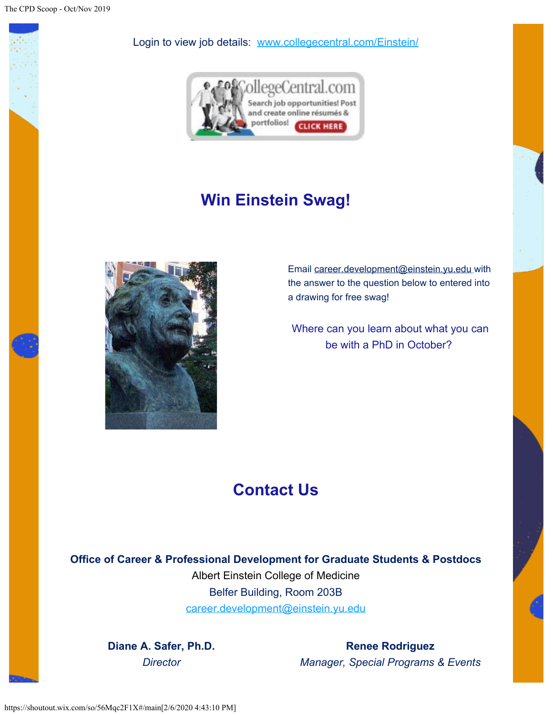

Login to view job details: [www.collegecentral.com/Einstein/](https://shoutout.wix.com/so/56Mqc2F1X/c?w=8a1DaN6TNaKkpl2Q2PAsF8REQMn6qlZCtn5Pw-QhEi8.eyJ1IjoiaHR0cHM6Ly93d3cuY29sbGVnZWNlbnRyYWwuY29tL2VpbnN0ZWluL1N0dWRlbnQuY2ZtIiwiciI6ImU2ODViZmIwLTg3YTItNDAzNS0yOGIwLTI0YzAzMDliZGRlMyIsIm0iOiJscCJ9)



# **Win Einstein Swag!**



Email [career.development@einstein.yu.edu](https://shoutout.wix.com/so/56Mqc2F1X/c?w=QIbbThl-GJO7UxVu8jbSlcOgFsW4Ik7u2UBfVBPhkQI.eyJ1IjoiaHR0cHM6Ly9jYXJlZXIuZGV2ZWxvcG1lbnRAZWluc3RlaW4ueXUuZWR1IiwiciI6IjE1OWQzZmYyLTRlYjctNDJhOC0yOTY5LTZmNmEwYjYxZjYwYSIsIm0iOiJscCJ9) with the answer to the question below to entered into a drawing for free swag!

Where can you learn about what you can be with a PhD in October?

# **Contact Us**

**Office of Career & Professional Development for Graduate Students & Postdocs** Albert Einstein College of Medicine Belfer Building, Room 203B [career.development@einstein.yu.edu](https://shoutout.wix.com/so/56Mqc2F1X/c?w=tZPberkaF1aiQfcIiq1ixtbEmke81XknY8CLC2iWris.eyJ1IjoibWFpbHRvOmNhcmVlci5kZXZlbG9wbWVudEBlaW5zdGVpbi55dS5lZHUiLCJyIjoiMjU5NzNlMGUtNzUwZi00MDM0LWQ0OGYtYWRiMWI3NzE5NjMwIiwibSI6ImxwIn0)

**Diane A. Safer, Ph.D.** *Director*

**Renee Rodriguez** *Manager, Special Programs & Events*